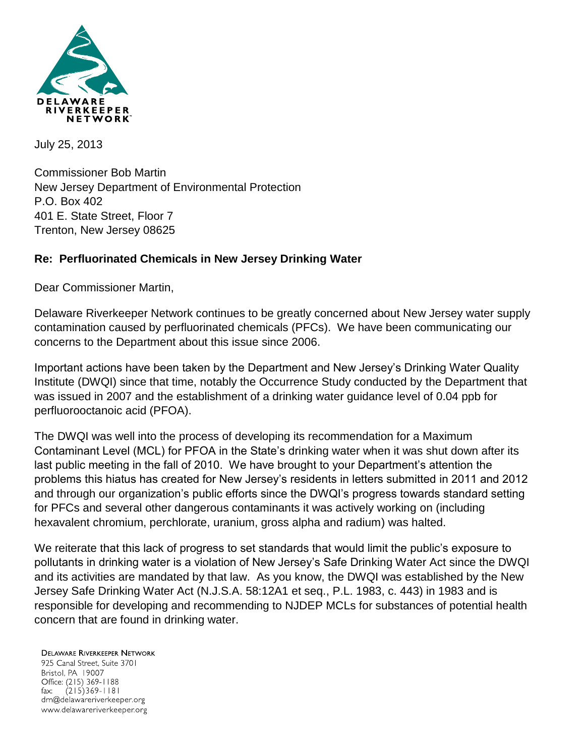

July 25, 2013

Commissioner Bob Martin New Jersey Department of Environmental Protection P.O. Box 402 401 E. State Street, Floor 7 Trenton, New Jersey 08625

## **Re: Perfluorinated Chemicals in New Jersey Drinking Water**

Dear Commissioner Martin,

Delaware Riverkeeper Network continues to be greatly concerned about New Jersey water supply contamination caused by perfluorinated chemicals (PFCs). We have been communicating our concerns to the Department about this issue since 2006.

Important actions have been taken by the Department and New Jersey's Drinking Water Quality Institute (DWQI) since that time, notably the Occurrence Study conducted by the Department that was issued in 2007 and the establishment of a drinking water guidance level of 0.04 ppb for perfluorooctanoic acid (PFOA).

The DWQI was well into the process of developing its recommendation for a Maximum Contaminant Level (MCL) for PFOA in the State's drinking water when it was shut down after its last public meeting in the fall of 2010. We have brought to your Department's attention the problems this hiatus has created for New Jersey's residents in letters submitted in 2011 and 2012 and through our organization's public efforts since the DWQI's progress towards standard setting for PFCs and several other dangerous contaminants it was actively working on (including hexavalent chromium, perchlorate, uranium, gross alpha and radium) was halted.

We reiterate that this lack of progress to set standards that would limit the public's exposure to pollutants in drinking water is a violation of New Jersey's Safe Drinking Water Act since the DWQI and its activities are mandated by that law. As you know, the DWQI was established by the New Jersey Safe Drinking Water Act (N.J.S.A. 58:12A1 et seq., P.L. 1983, c. 443) in 1983 and is responsible for developing and recommending to NJDEP MCLs for substances of potential health concern that are found in drinking water.

**DELAWARE RIVERKEEPER NETWORK** 925 Canal Street, Suite 3701 Bristol, PA 19007 Office: (215) 369-1188  $(215)369 - 1181$ fax: drn@delawareriverkeeper.org www.delawareriverkeeper.org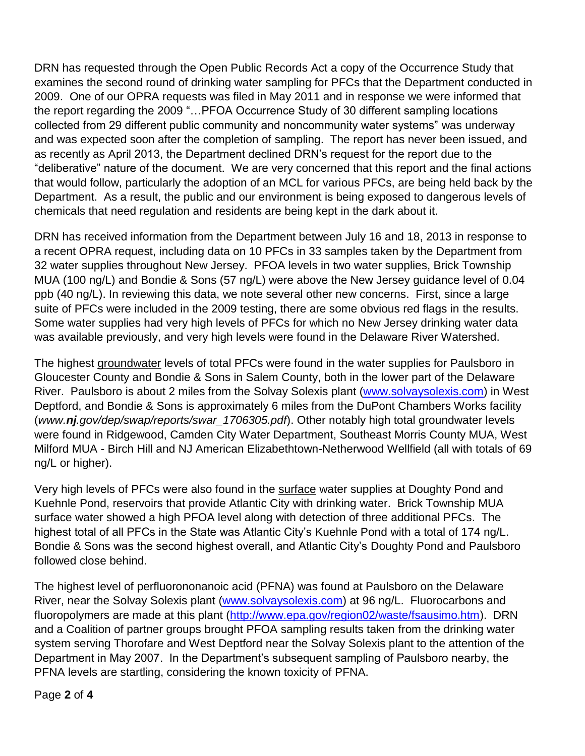DRN has requested through the Open Public Records Act a copy of the Occurrence Study that examines the second round of drinking water sampling for PFCs that the Department conducted in 2009. One of our OPRA requests was filed in May 2011 and in response we were informed that the report regarding the 2009 "…PFOA Occurrence Study of 30 different sampling locations collected from 29 different public community and noncommunity water systems" was underway and was expected soon after the completion of sampling. The report has never been issued, and as recently as April 2013, the Department declined DRN's request for the report due to the "deliberative" nature of the document. We are very concerned that this report and the final actions that would follow, particularly the adoption of an MCL for various PFCs, are being held back by the Department. As a result, the public and our environment is being exposed to dangerous levels of chemicals that need regulation and residents are being kept in the dark about it.

DRN has received information from the Department between July 16 and 18, 2013 in response to a recent OPRA request, including data on 10 PFCs in 33 samples taken by the Department from 32 water supplies throughout New Jersey. PFOA levels in two water supplies, Brick Township MUA (100 ng/L) and Bondie & Sons (57 ng/L) were above the New Jersey guidance level of 0.04 ppb (40 ng/L). In reviewing this data, we note several other new concerns. First, since a large suite of PFCs were included in the 2009 testing, there are some obvious red flags in the results. Some water supplies had very high levels of PFCs for which no New Jersey drinking water data was available previously, and very high levels were found in the Delaware River Watershed.

The highest groundwater levels of total PFCs were found in the water supplies for Paulsboro in Gloucester County and Bondie & Sons in Salem County, both in the lower part of the Delaware River. Paulsboro is about 2 miles from the Solvay Solexis plant [\(www.solvaysolexis.com\)](http://www.solvaysolexis.com/) in West Deptford, and Bondie & Sons is approximately 6 miles from the DuPont Chambers Works facility (*www.nj.gov/dep/swap/reports/swar\_1706305.pdf*). Other notably high total groundwater levels were found in Ridgewood, Camden City Water Department, Southeast Morris County MUA, West Milford MUA - Birch Hill and NJ American Elizabethtown-Netherwood Wellfield (all with totals of 69 ng/L or higher).

Very high levels of PFCs were also found in the surface water supplies at Doughty Pond and Kuehnle Pond, reservoirs that provide Atlantic City with drinking water. Brick Township MUA surface water showed a high PFOA level along with detection of three additional PFCs. The highest total of all PFCs in the State was Atlantic City's Kuehnle Pond with a total of 174 ng/L. Bondie & Sons was the second highest overall, and Atlantic City's Doughty Pond and Paulsboro followed close behind.

The highest level of perfluorononanoic acid (PFNA) was found at Paulsboro on the Delaware River, near the Solvay Solexis plant [\(www.solvaysolexis.com\)](http://www.solvaysolexis.com/) at 96 ng/L. Fluorocarbons and fluoropolymers are made at this plant [\(http://www.epa.gov/region02/waste/fsausimo.htm\)](http://www.epa.gov/region02/waste/fsausimo.htm). DRN and a Coalition of partner groups brought PFOA sampling results taken from the drinking water system serving Thorofare and West Deptford near the Solvay Solexis plant to the attention of the Department in May 2007. In the Department's subsequent sampling of Paulsboro nearby, the PFNA levels are startling, considering the known toxicity of PFNA.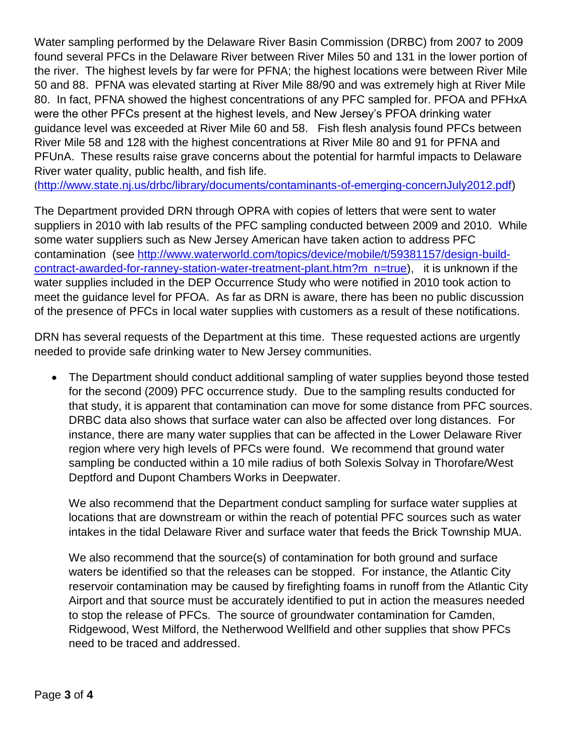Water sampling performed by the Delaware River Basin Commission (DRBC) from 2007 to 2009 found several PFCs in the Delaware River between River Miles 50 and 131 in the lower portion of the river. The highest levels by far were for PFNA; the highest locations were between River Mile 50 and 88. PFNA was elevated starting at River Mile 88/90 and was extremely high at River Mile 80. In fact, PFNA showed the highest concentrations of any PFC sampled for. PFOA and PFHxA were the other PFCs present at the highest levels, and New Jersey's PFOA drinking water guidance level was exceeded at River Mile 60 and 58. Fish flesh analysis found PFCs between River Mile 58 and 128 with the highest concentrations at River Mile 80 and 91 for PFNA and PFUnA. These results raise grave concerns about the potential for harmful impacts to Delaware River water quality, public health, and fish life.

([http://www.state.nj.us/drbc/library/documents/contaminants-of-emerging-concernJuly2012.pdf\)](http://www.state.nj.us/drbc/library/documents/contaminants-of-emerging-concernJuly2012.pdf)

The Department provided DRN through OPRA with copies of letters that were sent to water suppliers in 2010 with lab results of the PFC sampling conducted between 2009 and 2010. While some water suppliers such as New Jersey American have taken action to address PFC contamination (see [http://www.waterworld.com/topics/device/mobile/t/59381157/design-build](http://www.waterworld.com/topics/device/mobile/t/59381157/design-build-contract-awarded-for-ranney-station-water-treatment-plant.htm?m_n=true)[contract-awarded-for-ranney-station-water-treatment-plant.htm?m\\_n=true\)](http://www.waterworld.com/topics/device/mobile/t/59381157/design-build-contract-awarded-for-ranney-station-water-treatment-plant.htm?m_n=true), it is unknown if the water supplies included in the DEP Occurrence Study who were notified in 2010 took action to meet the guidance level for PFOA. As far as DRN is aware, there has been no public discussion of the presence of PFCs in local water supplies with customers as a result of these notifications.

DRN has several requests of the Department at this time. These requested actions are urgently needed to provide safe drinking water to New Jersey communities.

• The Department should conduct additional sampling of water supplies beyond those tested for the second (2009) PFC occurrence study. Due to the sampling results conducted for that study, it is apparent that contamination can move for some distance from PFC sources. DRBC data also shows that surface water can also be affected over long distances. For instance, there are many water supplies that can be affected in the Lower Delaware River region where very high levels of PFCs were found. We recommend that ground water sampling be conducted within a 10 mile radius of both Solexis Solvay in Thorofare/West Deptford and Dupont Chambers Works in Deepwater.

We also recommend that the Department conduct sampling for surface water supplies at locations that are downstream or within the reach of potential PFC sources such as water intakes in the tidal Delaware River and surface water that feeds the Brick Township MUA.

We also recommend that the source(s) of contamination for both ground and surface waters be identified so that the releases can be stopped. For instance, the Atlantic City reservoir contamination may be caused by firefighting foams in runoff from the Atlantic City Airport and that source must be accurately identified to put in action the measures needed to stop the release of PFCs. The source of groundwater contamination for Camden, Ridgewood, West Milford, the Netherwood Wellfield and other supplies that show PFCs need to be traced and addressed.